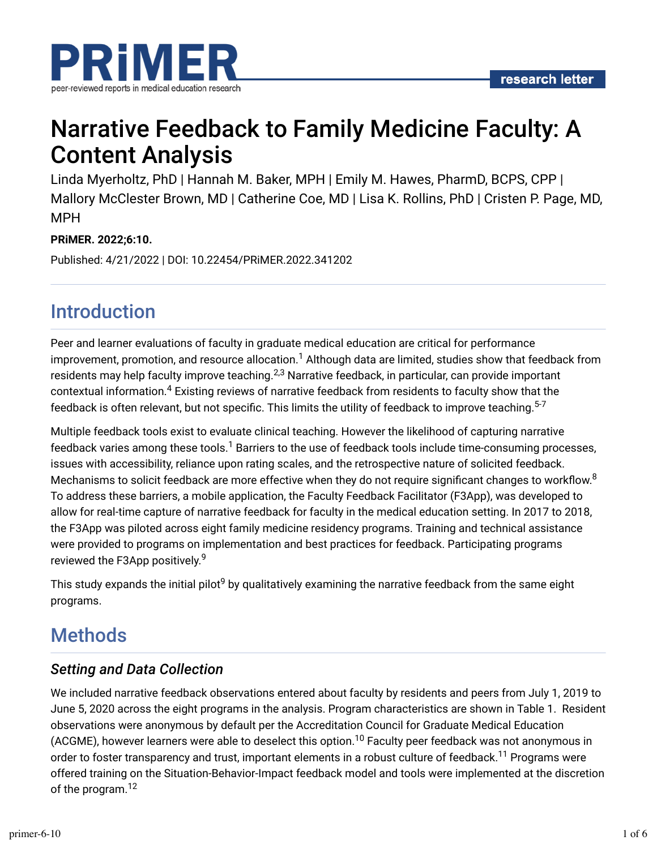

# Narrative Feedback to Family Medicine Faculty: A Content Analysis

Linda Myerholtz, PhD | Hannah M. Baker, MPH | Emily M. Hawes, PharmD, BCPS, CPP | Mallory McClester Brown, MD | Catherine Coe, MD | Lisa K. Rollins, PhD | Cristen P. Page, MD, MPH

#### **PRiMER. 2022;6:10.**

Published: 4/21/2022 | DOI: 10.22454/PRiMER.2022.341202

## Introduction

Peer and learner evaluations of faculty in graduate medical education are critical for performance improvement, promotion, and resource allocation. $^1$  Although data are limited, studies show that feedback from residents may help faculty improve teaching. $^{2,3}$  Narrative feedback, in particular, can provide important contextual information. $^4$  Existing reviews of narrative feedback from residents to faculty show that the feedback is often relevant, but not specific. This limits the utility of feedback to improve teaching. $^{\mathrm{5-7}}$ 

Multiple feedback tools exist to evaluate clinical teaching. However the likelihood of capturing narrative feedback varies among these tools. $^1$  Barriers to the use of feedback tools include time-consuming processes, issues with accessibility, reliance upon rating scales, and the retrospective nature of solicited feedback. Mechanisms to solicit feedback are more effective when they do not require significant changes to workflow. $8$ To address these barriers, a mobile application, the Faculty Feedback Facilitator (F3App), was developed to allow for real-time capture of narrative feedback for faculty in the medical education setting. In 2017 to 2018, the F3App was piloted across eight family medicine residency programs. Training and technical assistance were provided to programs on implementation and best practices for feedback. Participating programs reviewed the F3App positively.<sup>9</sup>

This study expands the initial pilot $^9$  by qualitatively examining the narrative feedback from the same eight programs.

## **Methods**

### *Setting and Data Collection*

We included narrative feedback observations entered about faculty by residents and peers from July 1, 2019 to June 5, 2020 across the eight programs in the analysis. Program characteristics are shown in Table 1. Resident observations were anonymous by default per the Accreditation Council for Graduate Medical Education (ACGME), however learners were able to deselect this option.<sup>10</sup> Faculty peer feedback was not anonymous in order to foster transparency and trust, important elements in a robust culture of feedback.<sup>11</sup> Programs were offered training on the Situation-Behavior-Impact feedback model and tools were implemented at the discretion of the program.<sup>12</sup>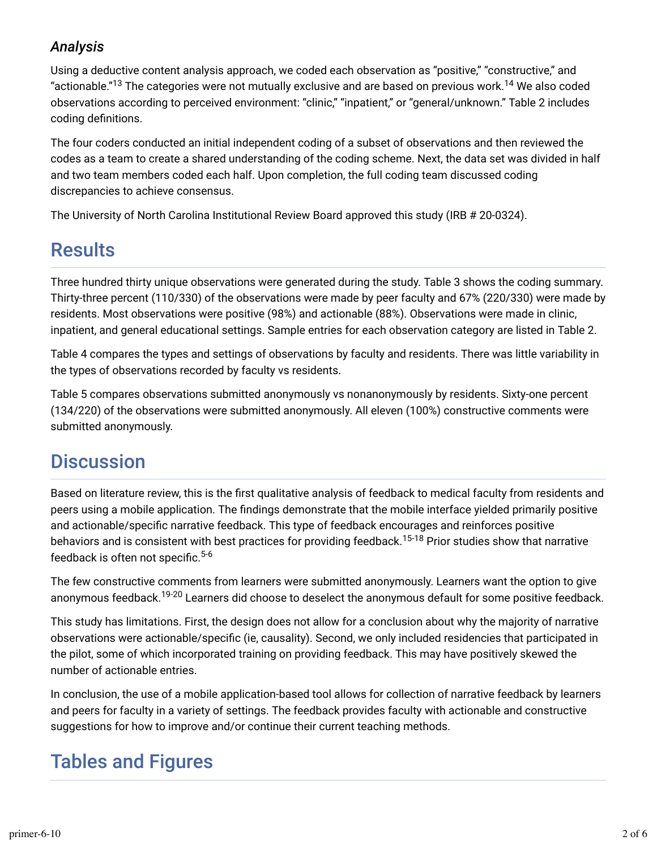## *Analysis*

Using a deductive content analysis approach, we coded each observation as "positive," "constructive," and "actionable." $^{13}$  The categories were not mutually exclusive and are based on previous work. $^{14}$  We also coded observations according to perceived environment: "clinic," "inpatient," or "general/unknown." Table 2 includes coding definitions.

The four coders conducted an initial independent coding of a subset of observations and then reviewed the codes as a team to create a shared understanding of the coding scheme. Next, the data set was divided in half and two team members coded each half. Upon completion, the full coding team discussed coding discrepancies to achieve consensus.

The University of North Carolina Institutional Review Board approved this study (IRB # 20-0324).

## **Results**

Three hundred thirty unique observations were generated during the study. Table 3 shows the coding summary. Thirty-three percent (110/330) of the observations were made by peer faculty and 67% (220/330) were made by residents. Most observations were positive (98%) and actionable (88%). Observations were made in clinic, inpatient, and general educational settings. Sample entries for each observation category are listed in Table 2.

Table 4 compares the types and settings of observations by faculty and residents. There was little variability in the types of observations recorded by faculty vs residents.

Table 5 compares observations submitted anonymously vs nonanonymously by residents. Sixty-one percent (134/220) of the observations were submitted anonymously. All eleven (100%) constructive comments were submitted anonymously.

## **Discussion**

Based on literature review, this is the first qualitative analysis of feedback to medical faculty from residents and peers using a mobile application. The Tndings demonstrate that the mobile interface yielded primarily positive and actionable/specific narrative feedback. This type of feedback encourages and reinforces positive behaviors and is consistent with best practices for providing feedback.<sup>15-18</sup> Prior studies show that narrative feedback is often not specific.<sup>5-6</sup>

The few constructive comments from learners were submitted anonymously. Learners want the option to give anonymous feedback.<sup>19-20</sup> Learners did choose to deselect the anonymous default for some positive feedback.

This study has limitations. First, the design does not allow for a conclusion about why the majority of narrative observations were actionable/specific (ie, causality). Second, we only included residencies that participated in the pilot, some of which incorporated training on providing feedback. This may have positively skewed the number of actionable entries.

In conclusion, the use of a mobile application-based tool allows for collection of narrative feedback by learners and peers for faculty in a variety of settings. The feedback provides faculty with actionable and constructive suggestions for how to improve and/or continue their current teaching methods.

## Tables and Figures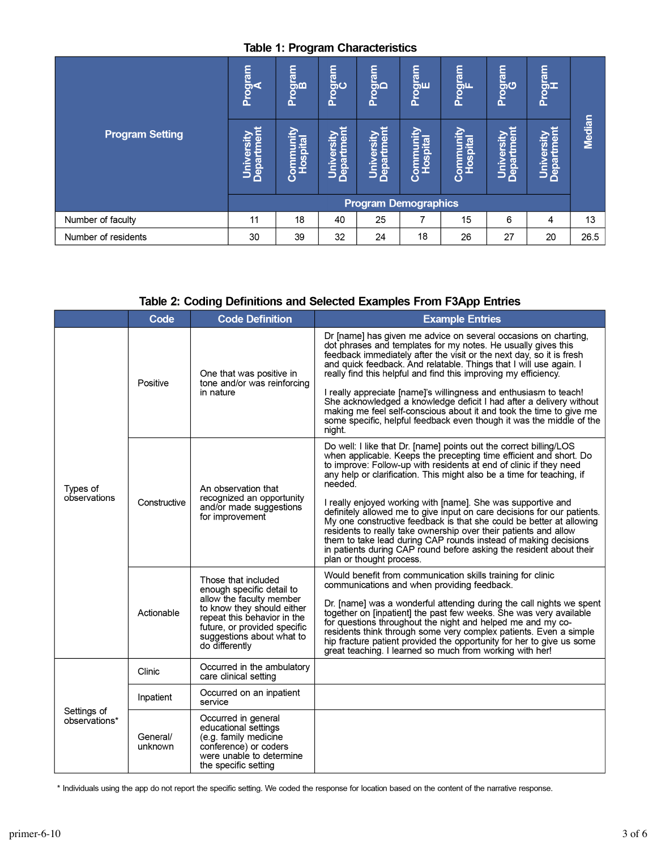#### **Table 1: Program Characteristics**

| <b>Program Setting</b> | Program<br>A<br>ъ<br>=<br>Ŧ<br>Depa<br>Ś | Program<br>B<br>僧<br><b>Ospital</b><br>Ō | Program<br>C<br>Department<br>University | Program<br>D<br>ersity<br>$\overline{\mathbf{a}}$<br>Ĕ<br>Depai<br>Ś | Program<br>E<br><u>nin</u><br>Hospital<br>Ē<br>Ō | Program<br>Le<br>unity<br><b>Ospital</b><br>$\circ$<br>Ŏ | Program<br>CG<br>rtmer<br>University<br><b>Depar</b> | Program<br>H<br>tment<br>ersity<br>Univ<br>Depa | Median |  |  |  |  |
|------------------------|------------------------------------------|------------------------------------------|------------------------------------------|----------------------------------------------------------------------|--------------------------------------------------|----------------------------------------------------------|------------------------------------------------------|-------------------------------------------------|--------|--|--|--|--|
|                        |                                          |                                          |                                          | <b>Program Demographics</b>                                          |                                                  |                                                          |                                                      |                                                 |        |  |  |  |  |
| Number of faculty      | 11                                       | 18                                       | 40                                       | 25                                                                   | 7                                                | 15                                                       | 6                                                    | 4                                               | 13     |  |  |  |  |
| Number of residents    | 30                                       | 39                                       | 32                                       | 24                                                                   | 18                                               | 26                                                       | 27                                                   | 20                                              | 26.5   |  |  |  |  |

#### Table 2: Coding Definitions and Selected Examples From F3App Entries

|                              | Code                | <b>Code Definition</b>                                                                                                                                                                                                   | <b>Example Entries</b>                                                                                                                                                                                                                                                                                                                                                                                                                                                                                                                                                                                                                                                                                                                                          |  |  |  |
|------------------------------|---------------------|--------------------------------------------------------------------------------------------------------------------------------------------------------------------------------------------------------------------------|-----------------------------------------------------------------------------------------------------------------------------------------------------------------------------------------------------------------------------------------------------------------------------------------------------------------------------------------------------------------------------------------------------------------------------------------------------------------------------------------------------------------------------------------------------------------------------------------------------------------------------------------------------------------------------------------------------------------------------------------------------------------|--|--|--|
|                              | Positive            | One that was positive in<br>tone and/or was reinforcing<br>in nature                                                                                                                                                     | Dr [name] has given me advice on several occasions on charting,<br>dot phrases and templates for my notes. He usually gives this<br>feedback immediately after the visit or the next day, so it is fresh<br>and quick feedback. And relatable. Things that I will use again. I<br>really find this helpful and find this improving my efficiency.<br>I really appreciate [name]'s willingness and enthusiasm to teach!<br>She acknowledged a knowledge deficit I had after a delivery without<br>making me feel self-conscious about it and took the time to give me<br>some specific, helpful feedback even though it was the middle of the<br>night.                                                                                                          |  |  |  |
| Types of<br>observations     | Constructive        | An observation that<br>recognized an opportunity<br>and/or made suggestions<br>for improvement                                                                                                                           | Do well: I like that Dr. [name] points out the correct billing/LOS<br>when applicable. Keeps the precepting time efficient and short. Do<br>to improve. Follow-up with residents at end of clinic if they need<br>any help or clarification. This might also be a time for teaching, if<br>needed.<br>I really enjoyed working with [name]. She was supportive and<br>definitely allowed me to give input on care decisions for our patients.<br>My one constructive feedback is that she could be better at allowing<br>residents to really take ownership over their patients and allow<br>them to take lead during CAP rounds instead of making decisions<br>in patients during CAP round before asking the resident about their<br>plan or thought process. |  |  |  |
|                              | Actionable          | Those that included<br>enough specific detail to<br>allow the faculty member<br>to know they should either<br>repeat this behavior in the<br>future, or provided specific<br>suggestions about what to<br>do differently | Would benefit from communication skills training for clinic<br>communications and when providing feedback.<br>Dr. [name] was a wonderful attending during the call nights we spent<br>together on [inpatient] the past few weeks. She was very available<br>for questions throughout the night and helped me and my co-<br>residents think through some very complex patients. Even a simple<br>hip fracture patient provided the opportunity for her to give us some<br>great teaching. I learned so much from working with her!                                                                                                                                                                                                                               |  |  |  |
| Settings of<br>observations* | Clinic              | Occurred in the ambulatory<br>care clinical setting                                                                                                                                                                      |                                                                                                                                                                                                                                                                                                                                                                                                                                                                                                                                                                                                                                                                                                                                                                 |  |  |  |
|                              | Inpatient           | Occurred on an inpatient<br>service                                                                                                                                                                                      |                                                                                                                                                                                                                                                                                                                                                                                                                                                                                                                                                                                                                                                                                                                                                                 |  |  |  |
|                              | General/<br>unknown | Occurred in general<br>educational settings<br>(e.g. family medicine<br>conference) or coders<br>were unable to determine<br>the specific setting                                                                        |                                                                                                                                                                                                                                                                                                                                                                                                                                                                                                                                                                                                                                                                                                                                                                 |  |  |  |

\* Individuals using the app do not report the specific setting. We coded the response for location based on the content of the narrative response.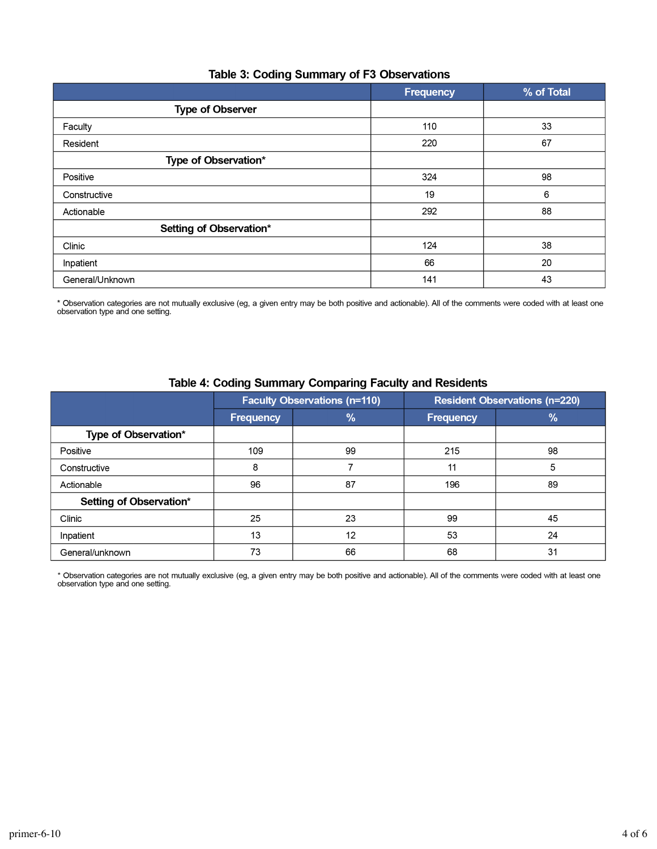#### Table 3: Coding Summary of F3 Observations

|                         | Frequency | % of Total |
|-------------------------|-----------|------------|
| <b>Type of Observer</b> |           |            |
| Faculty                 | 110       | 33         |
| Resident                | 220       | 67         |
| Type of Observation*    |           |            |
| Positive                | 324       | 98         |
| Constructive            | 19        | 6          |
| Actionable              | 292       | 88         |
| Setting of Observation* |           |            |
| Clinic                  | 124       | 38         |
| Inpatient               | 66        | 20         |
| General/Unknown         | 141       | 43         |

\* Observation categories are not mutually exclusive (eg, a given entry may be both positive and actionable). All of the comments were coded with at least one observation type and one setting.

|                         |                  | <b>Faculty Observations (n=110)</b> | <b>Resident Observations (n=220)</b> |    |  |
|-------------------------|------------------|-------------------------------------|--------------------------------------|----|--|
|                         | <b>Frequency</b> | %                                   | <b>Frequency</b>                     | %  |  |
| Type of Observation*    |                  |                                     |                                      |    |  |
| Positive                | 109              | 99                                  | 215                                  | 98 |  |
| Constructive            | 8                |                                     | 11                                   | 5  |  |
| Actionable              | 96               | 87                                  | 196                                  | 89 |  |
| Setting of Observation* |                  |                                     |                                      |    |  |
| Clinic                  | 25               | 23                                  | 99                                   | 45 |  |
| Inpatient               | 13               | 12                                  | 53                                   | 24 |  |
| General/unknown         | 73               | 66                                  | 68                                   | 31 |  |

#### Table 4: Coding Summary Comparing Faculty and Residents

\* Observation categories are not mutually exclusive (eg, a given entry may be both positive and actionable). All of the comments were coded with at least one observation type and one setting.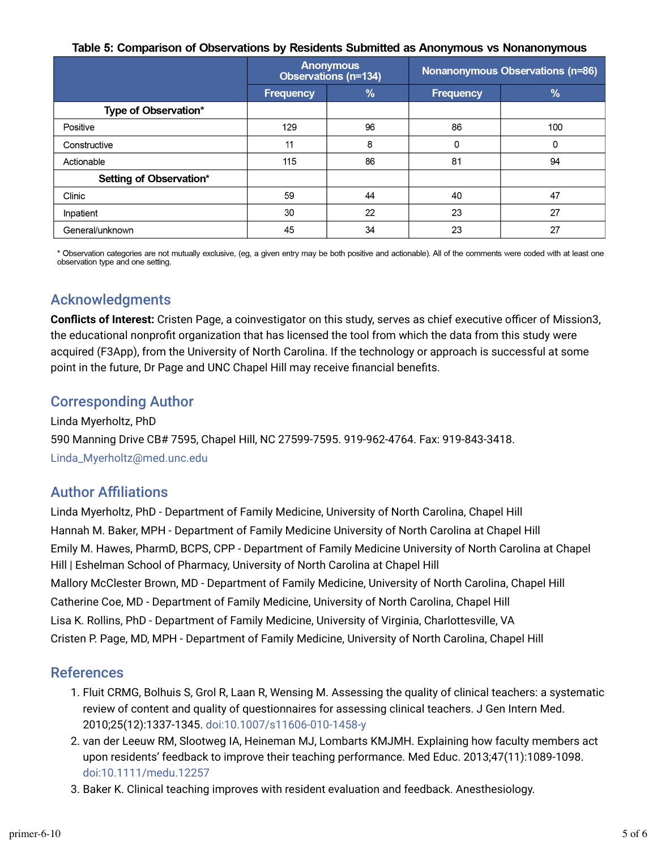#### Table 5: Comparison of Observations by Residents Submitted as Anonymous vs Nonanonymous

|                         |                  | <b>Anonymous</b><br>Observations (n=134) | Nonanonymous Observations (n=86) |               |  |
|-------------------------|------------------|------------------------------------------|----------------------------------|---------------|--|
|                         | <b>Frequency</b> | $\%$                                     | <b>Frequency</b>                 | $\frac{9}{6}$ |  |
| Type of Observation*    |                  |                                          |                                  |               |  |
| Positive                | 129              | 96                                       | 86                               | 100           |  |
| Constructive            | 11               | 8                                        | 0                                | 0             |  |
| Actionable              | 115              | 86                                       | 81                               | 94            |  |
| Setting of Observation* |                  |                                          |                                  |               |  |
| Clinic                  | 59               | 44                                       | 40                               | 47            |  |
| Inpatient               | 30               | 22                                       | 23                               | 27            |  |
| General/unknown         | 45               | 34                                       | 23                               | 27            |  |

\* Observation categories are not mutually exclusive, (eg, a given entry may be both positive and actionable). All of the comments were coded with at least one observation type and one setting.

### Acknowledgments

**Conflicts of Interest:** Cristen Page, a coinvestigator on this study, serves as chief executive officer of Mission3, the educational nonprofit organization that has licensed the tool from which the data from this study were acquired (F3App), from the University of North Carolina. If the technology or approach is successful at some point in the future, Dr Page and UNC Chapel Hill may receive financial benefits.

### Corresponding Author

Linda Myerholtz, PhD 590 Manning Drive CB# 7595, Chapel Hill, NC 27599-7595. 919-962-4764. Fax: 919-843-3418. [Linda\\_Myerholtz@med.unc.edu](mailto:Linda_Myerholtz@med.unc.edu)

### **Author Affiliations**

Linda Myerholtz, PhD - Department of Family Medicine, University of North Carolina, Chapel Hill Hannah M. Baker, MPH - Department of Family Medicine University of North Carolina at Chapel Hill Emily M. Hawes, PharmD, BCPS, CPP - Department of Family Medicine University of North Carolina at Chapel Hill | Eshelman School of Pharmacy, University of North Carolina at Chapel Hill Mallory McClester Brown, MD - Department of Family Medicine, University of North Carolina, Chapel Hill Catherine Coe, MD - Department of Family Medicine, University of North Carolina, Chapel Hill Lisa K. Rollins, PhD - Department of Family Medicine, University of Virginia, Charlottesville, VA Cristen P. Page, MD, MPH - Department of Family Medicine, University of North Carolina, Chapel Hill

### References

- 1. Fluit CRMG, Bolhuis S, Grol R, Laan R, Wensing M. Assessing the quality of clinical teachers: a systematic review of content and quality of questionnaires for assessing clinical teachers. J Gen Intern Med. 2010;25(12):1337-1345. [doi:10.1007/s11606-010-1458-y](https://doi.org/10.1007/s11606-010-1458-y)
- 2. van der Leeuw RM, Slootweg IA, Heineman MJ, Lombarts KMJMH. Explaining how faculty members act upon residents' feedback to improve their teaching performance. Med Educ. 2013;47(11):1089-1098. [doi:10.1111/medu.12257](https://doi.org/10.1111/medu.12257)
- 3. Baker K. Clinical teaching improves with resident evaluation and feedback. Anesthesiology.